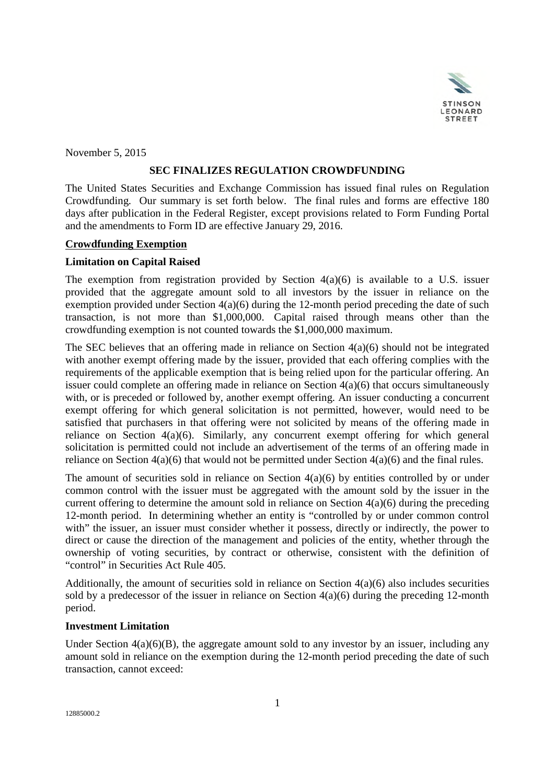

November 5, 2015

## **SEC FINALIZES REGULATION CROWDFUNDING**

The United States Securities and Exchange Commission has issued final rules on Regulation Crowdfunding. Our summary is set forth below. The final rules and forms are effective 180 days after publication in the Federal Register, except provisions related to Form Funding Portal and the amendments to Form ID are effective January 29, 2016.

## **Crowdfunding Exemption**

## **Limitation on Capital Raised**

The exemption from registration provided by Section  $4(a)(6)$  is available to a U.S. issuer provided that the aggregate amount sold to all investors by the issuer in reliance on the exemption provided under Section 4(a)(6) during the 12-month period preceding the date of such transaction, is not more than \$1,000,000. Capital raised through means other than the crowdfunding exemption is not counted towards the \$1,000,000 maximum.

The SEC believes that an offering made in reliance on Section 4(a)(6) should not be integrated with another exempt offering made by the issuer, provided that each offering complies with the requirements of the applicable exemption that is being relied upon for the particular offering. An issuer could complete an offering made in reliance on Section 4(a)(6) that occurs simultaneously with, or is preceded or followed by, another exempt offering. An issuer conducting a concurrent exempt offering for which general solicitation is not permitted, however, would need to be satisfied that purchasers in that offering were not solicited by means of the offering made in reliance on Section 4(a)(6). Similarly, any concurrent exempt offering for which general solicitation is permitted could not include an advertisement of the terms of an offering made in reliance on Section  $4(a)(6)$  that would not be permitted under Section  $4(a)(6)$  and the final rules.

The amount of securities sold in reliance on Section  $4(a)(6)$  by entities controlled by or under common control with the issuer must be aggregated with the amount sold by the issuer in the current offering to determine the amount sold in reliance on Section 4(a)(6) during the preceding 12-month period. In determining whether an entity is "controlled by or under common control with" the issuer, an issuer must consider whether it possess, directly or indirectly, the power to direct or cause the direction of the management and policies of the entity, whether through the ownership of voting securities, by contract or otherwise, consistent with the definition of "control" in Securities Act Rule 405.

Additionally, the amount of securities sold in reliance on Section  $4(a)(6)$  also includes securities sold by a predecessor of the issuer in reliance on Section 4(a)(6) during the preceding 12-month period.

#### **Investment Limitation**

Under Section  $4(a)(6)(B)$ , the aggregate amount sold to any investor by an issuer, including any amount sold in reliance on the exemption during the 12-month period preceding the date of such transaction, cannot exceed: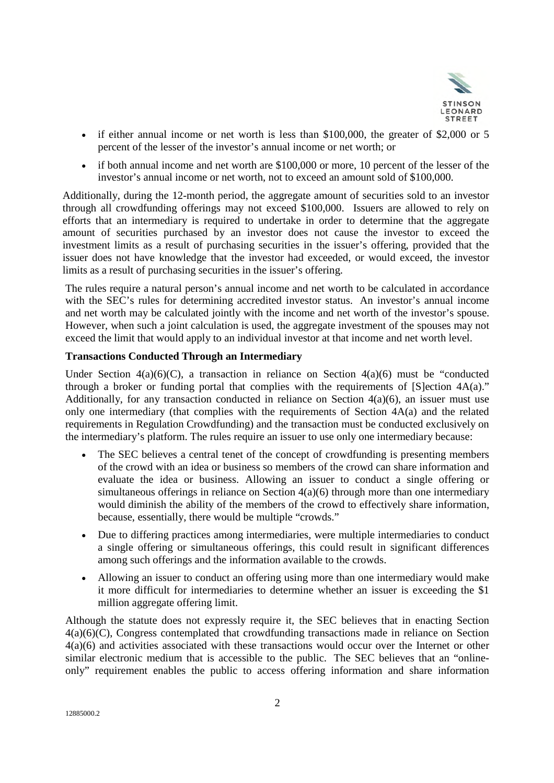

- $\bullet$  if either annual income or net worth is less than \$100,000, the greater of \$2,000 or 5 percent of the lesser of the investor's annual income or net worth; or
- if both annual income and net worth are \$100,000 or more, 10 percent of the lesser of the investor's annual income or net worth, not to exceed an amount sold of \$100,000.

Additionally, during the 12-month period, the aggregate amount of securities sold to an investor through all crowdfunding offerings may not exceed \$100,000. Issuers are allowed to rely on efforts that an intermediary is required to undertake in order to determine that the aggregate amount of securities purchased by an investor does not cause the investor to exceed the investment limits as a result of purchasing securities in the issuer's offering, provided that the issuer does not have knowledge that the investor had exceeded, or would exceed, the investor limits as a result of purchasing securities in the issuer's offering.

The rules require a natural person's annual income and net worth to be calculated in accordance with the SEC's rules for determining accredited investor status. An investor's annual income and net worth may be calculated jointly with the income and net worth of the investor's spouse. However, when such a joint calculation is used, the aggregate investment of the spouses may not exceed the limit that would apply to an individual investor at that income and net worth level.

## **Transactions Conducted Through an Intermediary**

Under Section  $4(a)(6)(C)$ , a transaction in reliance on Section  $4(a)(6)$  must be "conducted through a broker or funding portal that complies with the requirements of [S]ection 4A(a)." Additionally, for any transaction conducted in reliance on Section  $4(a)(6)$ , an issuer must use only one intermediary (that complies with the requirements of Section 4A(a) and the related requirements in Regulation Crowdfunding) and the transaction must be conducted exclusively on the intermediary's platform. The rules require an issuer to use only one intermediary because:

- The SEC believes a central tenet of the concept of crowdfunding is presenting members of the crowd with an idea or business so members of the crowd can share information and evaluate the idea or business. Allowing an issuer to conduct a single offering or simultaneous offerings in reliance on Section 4(a)(6) through more than one intermediary would diminish the ability of the members of the crowd to effectively share information, because, essentially, there would be multiple "crowds."
- Due to differing practices among intermediaries, were multiple intermediaries to conduct a single offering or simultaneous offerings, this could result in significant differences among such offerings and the information available to the crowds.
- Allowing an issuer to conduct an offering using more than one intermediary would make it more difficult for intermediaries to determine whether an issuer is exceeding the \$1 million aggregate offering limit.

Although the statute does not expressly require it, the SEC believes that in enacting Section 4(a)(6)(C), Congress contemplated that crowdfunding transactions made in reliance on Section 4(a)(6) and activities associated with these transactions would occur over the Internet or other similar electronic medium that is accessible to the public. The SEC believes that an "onlineonly" requirement enables the public to access offering information and share information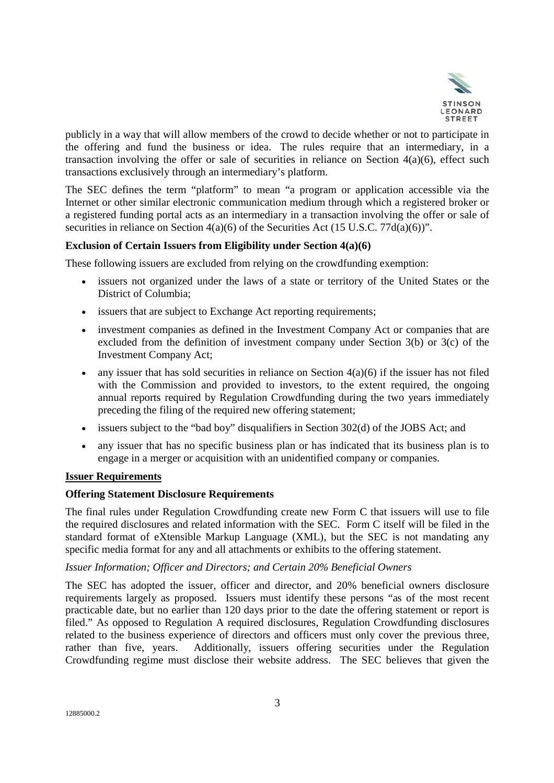

publicly in a way that will allow members of the crowd to decide whether or not to participate in the offering and fund the business or idea. The rules require that an intermediary, in a transaction involving the offer or sale of securities in reliance on Section  $4(a)(6)$ , effect such transactions exclusively through an intermediary's platform.

The SEC defines the term "platform" to mean "a program or application accessible via the Internet or other similar electronic communication medium through which a registered broker or a registered funding portal acts as an intermediary in a transaction involving the offer or sale of securities in reliance on Section  $4(a)(6)$  of the Securities Act (15 U.S.C. 77d(a)(6))".

## **Exclusion of Certain Issuers from Eligibility under Section 4(a)(6)**

These following issuers are excluded from relying on the crowdfunding exemption:

- issuers not organized under the laws of a state or territory of the United States or the District of Columbia;
- issuers that are subject to Exchange Act reporting requirements;
- investment companies as defined in the Investment Company Act or companies that are excluded from the definition of investment company under Section 3(b) or 3(c) of the Investment Company Act;
- any issuer that has sold securities in reliance on Section 4(a)(6) if the issuer has not filed with the Commission and provided to investors, to the extent required, the ongoing annual reports required by Regulation Crowdfunding during the two years immediately preceding the filing of the required new offering statement;
- issuers subject to the "bad boy" disqualifiers in Section 302(d) of the JOBS Act; and
- any issuer that has no specific business plan or has indicated that its business plan is to engage in a merger or acquisition with an unidentified company or companies.

## **Issuer Requirements**

#### **Offering Statement Disclosure Requirements**

The final rules under Regulation Crowdfunding create new Form C that issuers will use to file the required disclosures and related information with the SEC. Form C itself will be filed in the standard format of eXtensible Markup Language (XML), but the SEC is not mandating any specific media format for any and all attachments or exhibits to the offering statement.

#### *Issuer Information; Officer and Directors; and Certain 20% Beneficial Owners*

The SEC has adopted the issuer, officer and director, and 20% beneficial owners disclosure requirements largely as proposed. Issuers must identify these persons "as of the most recent practicable date, but no earlier than 120 days prior to the date the offering statement or report is filed." As opposed to Regulation A required disclosures, Regulation Crowdfunding disclosures related to the business experience of directors and officers must only cover the previous three, rather than five, years. Additionally, issuers offering securities under the Regulation Crowdfunding regime must disclose their website address. The SEC believes that given the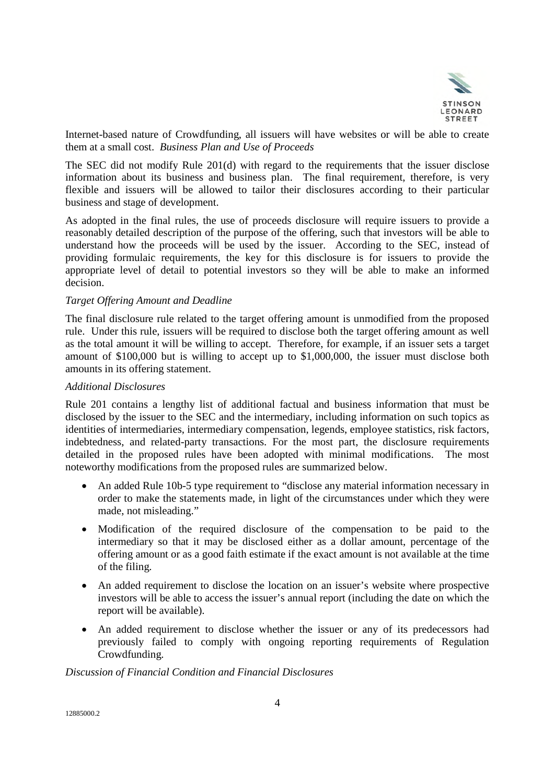

Internet-based nature of Crowdfunding, all issuers will have websites or will be able to create them at a small cost. *Business Plan and Use of Proceeds*

The SEC did not modify Rule 201(d) with regard to the requirements that the issuer disclose information about its business and business plan. The final requirement, therefore, is very flexible and issuers will be allowed to tailor their disclosures according to their particular business and stage of development.

As adopted in the final rules, the use of proceeds disclosure will require issuers to provide a reasonably detailed description of the purpose of the offering, such that investors will be able to understand how the proceeds will be used by the issuer. According to the SEC, instead of providing formulaic requirements, the key for this disclosure is for issuers to provide the appropriate level of detail to potential investors so they will be able to make an informed decision.

#### *Target Offering Amount and Deadline*

The final disclosure rule related to the target offering amount is unmodified from the proposed rule. Under this rule, issuers will be required to disclose both the target offering amount as well as the total amount it will be willing to accept. Therefore, for example, if an issuer sets a target amount of \$100,000 but is willing to accept up to \$1,000,000, the issuer must disclose both amounts in its offering statement.

#### *Additional Disclosures*

Rule 201 contains a lengthy list of additional factual and business information that must be disclosed by the issuer to the SEC and the intermediary, including information on such topics as identities of intermediaries, intermediary compensation, legends, employee statistics, risk factors, indebtedness, and related-party transactions. For the most part, the disclosure requirements detailed in the proposed rules have been adopted with minimal modifications. The most noteworthy modifications from the proposed rules are summarized below.

- An added Rule 10b-5 type requirement to "disclose any material information necessary in order to make the statements made, in light of the circumstances under which they were made, not misleading."
- Modification of the required disclosure of the compensation to be paid to the intermediary so that it may be disclosed either as a dollar amount, percentage of the offering amount or as a good faith estimate if the exact amount is not available at the time of the filing.
- An added requirement to disclose the location on an issuer's website where prospective investors will be able to access the issuer's annual report (including the date on which the report will be available).
- An added requirement to disclose whether the issuer or any of its predecessors had previously failed to comply with ongoing reporting requirements of Regulation Crowdfunding.

### *Discussion of Financial Condition and Financial Disclosures*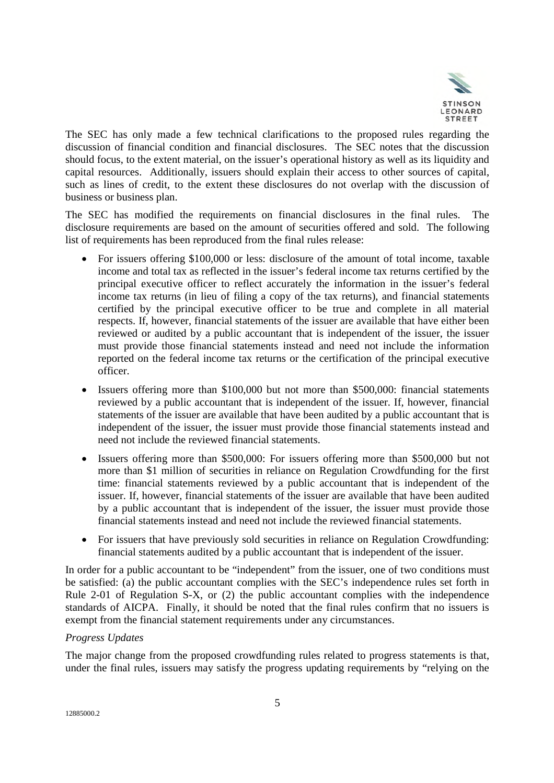

The SEC has only made a few technical clarifications to the proposed rules regarding the discussion of financial condition and financial disclosures. The SEC notes that the discussion should focus, to the extent material, on the issuer's operational history as well as its liquidity and capital resources. Additionally, issuers should explain their access to other sources of capital, such as lines of credit, to the extent these disclosures do not overlap with the discussion of business or business plan.

The SEC has modified the requirements on financial disclosures in the final rules. The disclosure requirements are based on the amount of securities offered and sold. The following list of requirements has been reproduced from the final rules release:

- For issuers offering \$100,000 or less: disclosure of the amount of total income, taxable income and total tax as reflected in the issuer's federal income tax returns certified by the principal executive officer to reflect accurately the information in the issuer's federal income tax returns (in lieu of filing a copy of the tax returns), and financial statements certified by the principal executive officer to be true and complete in all material respects. If, however, financial statements of the issuer are available that have either been reviewed or audited by a public accountant that is independent of the issuer, the issuer must provide those financial statements instead and need not include the information reported on the federal income tax returns or the certification of the principal executive officer.
- Issuers offering more than \$100,000 but not more than \$500,000: financial statements reviewed by a public accountant that is independent of the issuer. If, however, financial statements of the issuer are available that have been audited by a public accountant that is independent of the issuer, the issuer must provide those financial statements instead and need not include the reviewed financial statements.
- Issuers offering more than \$500,000: For issuers offering more than \$500,000 but not more than \$1 million of securities in reliance on Regulation Crowdfunding for the first time: financial statements reviewed by a public accountant that is independent of the issuer. If, however, financial statements of the issuer are available that have been audited by a public accountant that is independent of the issuer, the issuer must provide those financial statements instead and need not include the reviewed financial statements.
- For issuers that have previously sold securities in reliance on Regulation Crowdfunding: financial statements audited by a public accountant that is independent of the issuer.

In order for a public accountant to be "independent" from the issuer, one of two conditions must be satisfied: (a) the public accountant complies with the SEC's independence rules set forth in Rule 2-01 of Regulation S-X, or (2) the public accountant complies with the independence standards of AICPA. Finally, it should be noted that the final rules confirm that no issuers is exempt from the financial statement requirements under any circumstances.

## *Progress Updates*

The major change from the proposed crowdfunding rules related to progress statements is that, under the final rules, issuers may satisfy the progress updating requirements by "relying on the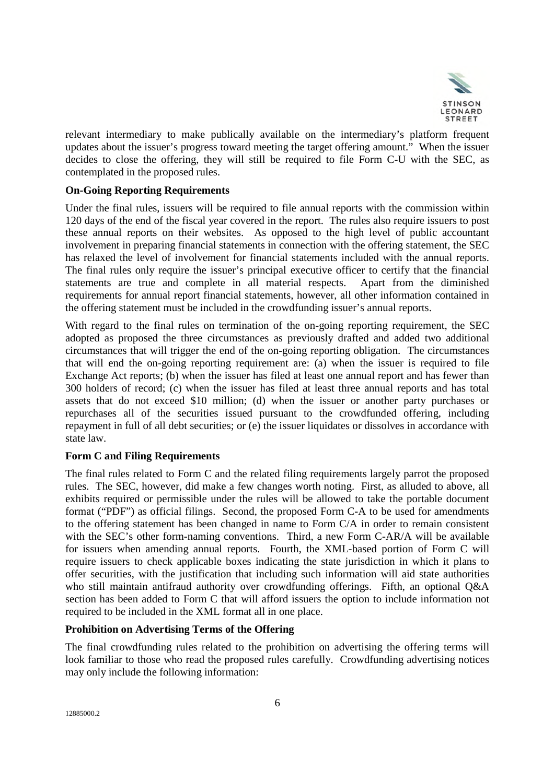

relevant intermediary to make publically available on the intermediary's platform frequent updates about the issuer's progress toward meeting the target offering amount." When the issuer decides to close the offering, they will still be required to file Form C-U with the SEC, as contemplated in the proposed rules.

### **On-Going Reporting Requirements**

Under the final rules, issuers will be required to file annual reports with the commission within 120 days of the end of the fiscal year covered in the report. The rules also require issuers to post these annual reports on their websites. As opposed to the high level of public accountant involvement in preparing financial statements in connection with the offering statement, the SEC has relaxed the level of involvement for financial statements included with the annual reports. The final rules only require the issuer's principal executive officer to certify that the financial statements are true and complete in all material respects. Apart from the diminished requirements for annual report financial statements, however, all other information contained in the offering statement must be included in the crowdfunding issuer's annual reports.

With regard to the final rules on termination of the on-going reporting requirement, the SEC adopted as proposed the three circumstances as previously drafted and added two additional circumstances that will trigger the end of the on-going reporting obligation. The circumstances that will end the on-going reporting requirement are: (a) when the issuer is required to file Exchange Act reports; (b) when the issuer has filed at least one annual report and has fewer than 300 holders of record; (c) when the issuer has filed at least three annual reports and has total assets that do not exceed \$10 million; (d) when the issuer or another party purchases or repurchases all of the securities issued pursuant to the crowdfunded offering, including repayment in full of all debt securities; or (e) the issuer liquidates or dissolves in accordance with state law.

#### **Form C and Filing Requirements**

The final rules related to Form C and the related filing requirements largely parrot the proposed rules. The SEC, however, did make a few changes worth noting. First, as alluded to above, all exhibits required or permissible under the rules will be allowed to take the portable document format ("PDF") as official filings. Second, the proposed Form C-A to be used for amendments to the offering statement has been changed in name to Form C/A in order to remain consistent with the SEC's other form-naming conventions. Third, a new Form C-AR/A will be available for issuers when amending annual reports. Fourth, the XML-based portion of Form C will require issuers to check applicable boxes indicating the state jurisdiction in which it plans to offer securities, with the justification that including such information will aid state authorities who still maintain antifraud authority over crowdfunding offerings. Fifth, an optional Q&A section has been added to Form C that will afford issuers the option to include information not required to be included in the XML format all in one place.

#### **Prohibition on Advertising Terms of the Offering**

The final crowdfunding rules related to the prohibition on advertising the offering terms will look familiar to those who read the proposed rules carefully. Crowdfunding advertising notices may only include the following information: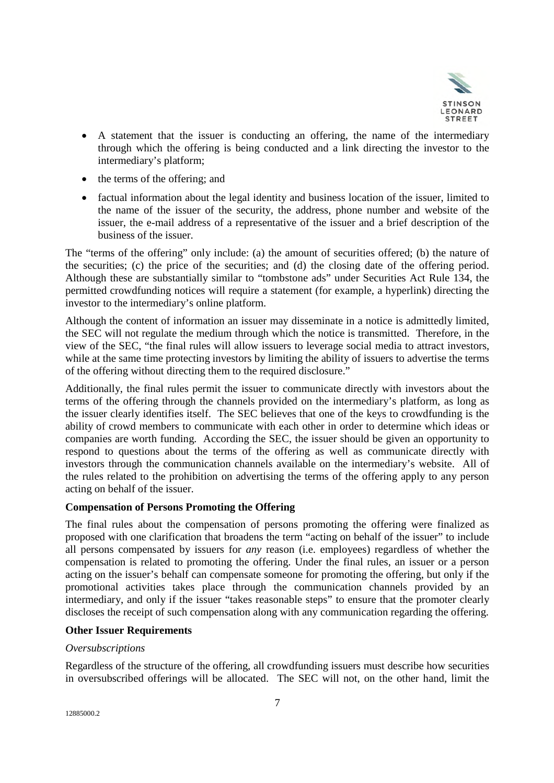

- A statement that the issuer is conducting an offering, the name of the intermediary through which the offering is being conducted and a link directing the investor to the intermediary's platform;
- $\bullet$  the terms of the offering; and
- factual information about the legal identity and business location of the issuer, limited to the name of the issuer of the security, the address, phone number and website of the issuer, the e-mail address of a representative of the issuer and a brief description of the business of the issuer.

The "terms of the offering" only include: (a) the amount of securities offered; (b) the nature of the securities; (c) the price of the securities; and (d) the closing date of the offering period. Although these are substantially similar to "tombstone ads" under Securities Act Rule 134, the permitted crowdfunding notices will require a statement (for example, a hyperlink) directing the investor to the intermediary's online platform.

Although the content of information an issuer may disseminate in a notice is admittedly limited, the SEC will not regulate the medium through which the notice is transmitted. Therefore, in the view of the SEC, "the final rules will allow issuers to leverage social media to attract investors, while at the same time protecting investors by limiting the ability of issuers to advertise the terms of the offering without directing them to the required disclosure."

Additionally, the final rules permit the issuer to communicate directly with investors about the terms of the offering through the channels provided on the intermediary's platform, as long as the issuer clearly identifies itself. The SEC believes that one of the keys to crowdfunding is the ability of crowd members to communicate with each other in order to determine which ideas or companies are worth funding. According the SEC, the issuer should be given an opportunity to respond to questions about the terms of the offering as well as communicate directly with investors through the communication channels available on the intermediary's website. All of the rules related to the prohibition on advertising the terms of the offering apply to any person acting on behalf of the issuer.

#### **Compensation of Persons Promoting the Offering**

The final rules about the compensation of persons promoting the offering were finalized as proposed with one clarification that broadens the term "acting on behalf of the issuer" to include all persons compensated by issuers for *any* reason (i.e. employees) regardless of whether the compensation is related to promoting the offering. Under the final rules, an issuer or a person acting on the issuer's behalf can compensate someone for promoting the offering, but only if the promotional activities takes place through the communication channels provided by an intermediary, and only if the issuer "takes reasonable steps" to ensure that the promoter clearly discloses the receipt of such compensation along with any communication regarding the offering.

#### **Other Issuer Requirements**

### *Oversubscriptions*

Regardless of the structure of the offering, all crowdfunding issuers must describe how securities in oversubscribed offerings will be allocated. The SEC will not, on the other hand, limit the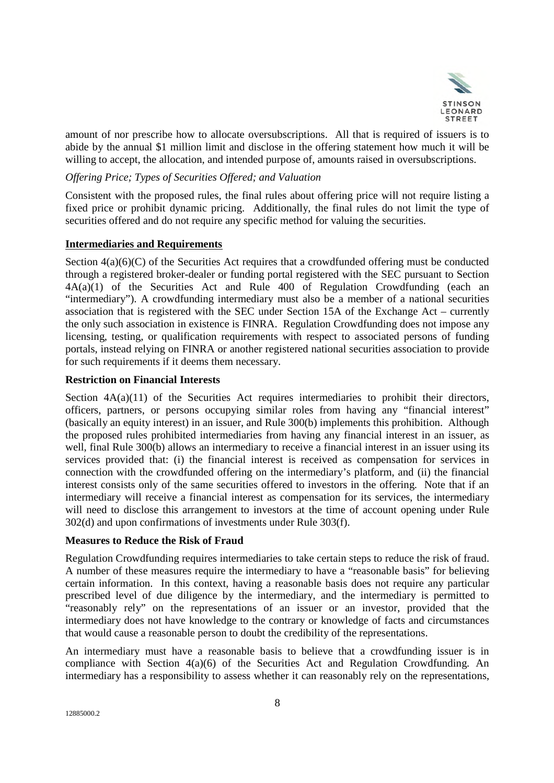

amount of nor prescribe how to allocate oversubscriptions. All that is required of issuers is to abide by the annual \$1 million limit and disclose in the offering statement how much it will be willing to accept, the allocation, and intended purpose of, amounts raised in oversubscriptions.

# *Offering Price; Types of Securities Offered; and Valuation*

Consistent with the proposed rules, the final rules about offering price will not require listing a fixed price or prohibit dynamic pricing. Additionally, the final rules do not limit the type of securities offered and do not require any specific method for valuing the securities.

## **Intermediaries and Requirements**

Section  $4(a)(6)(C)$  of the Securities Act requires that a crowdfunded offering must be conducted through a registered broker-dealer or funding portal registered with the SEC pursuant to Section 4A(a)(1) of the Securities Act and Rule 400 of Regulation Crowdfunding (each an "intermediary"). A crowdfunding intermediary must also be a member of a national securities association that is registered with the SEC under Section 15A of the Exchange Act – currently the only such association in existence is FINRA. Regulation Crowdfunding does not impose any licensing, testing, or qualification requirements with respect to associated persons of funding portals, instead relying on FINRA or another registered national securities association to provide for such requirements if it deems them necessary.

## **Restriction on Financial Interests**

Section  $4A(a)(11)$  of the Securities Act requires intermediaries to prohibit their directors, officers, partners, or persons occupying similar roles from having any "financial interest" (basically an equity interest) in an issuer, and Rule 300(b) implements this prohibition. Although the proposed rules prohibited intermediaries from having any financial interest in an issuer, as well, final Rule 300(b) allows an intermediary to receive a financial interest in an issuer using its services provided that: (i) the financial interest is received as compensation for services in connection with the crowdfunded offering on the intermediary's platform, and (ii) the financial interest consists only of the same securities offered to investors in the offering. Note that if an intermediary will receive a financial interest as compensation for its services, the intermediary will need to disclose this arrangement to investors at the time of account opening under Rule 302(d) and upon confirmations of investments under Rule 303(f).

## **Measures to Reduce the Risk of Fraud**

Regulation Crowdfunding requires intermediaries to take certain steps to reduce the risk of fraud. A number of these measures require the intermediary to have a "reasonable basis" for believing certain information. In this context, having a reasonable basis does not require any particular prescribed level of due diligence by the intermediary, and the intermediary is permitted to "reasonably rely" on the representations of an issuer or an investor, provided that the intermediary does not have knowledge to the contrary or knowledge of facts and circumstances that would cause a reasonable person to doubt the credibility of the representations.

An intermediary must have a reasonable basis to believe that a crowdfunding issuer is in compliance with Section 4(a)(6) of the Securities Act and Regulation Crowdfunding. An intermediary has a responsibility to assess whether it can reasonably rely on the representations,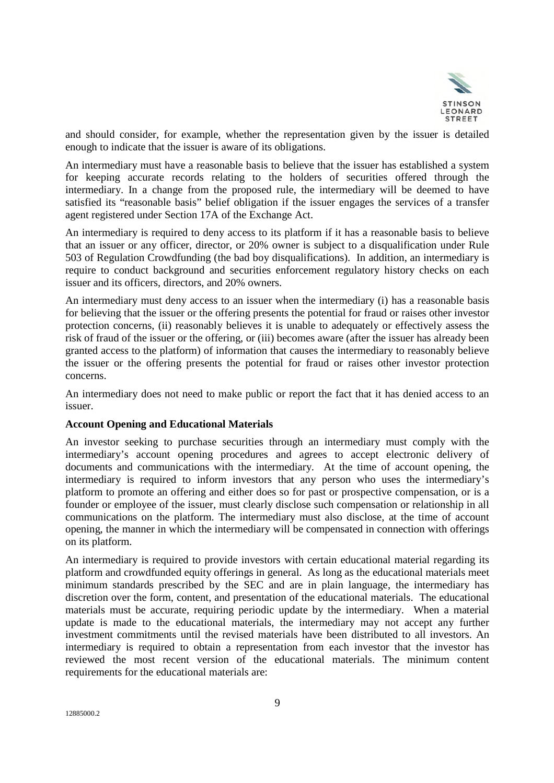

and should consider, for example, whether the representation given by the issuer is detailed enough to indicate that the issuer is aware of its obligations.

An intermediary must have a reasonable basis to believe that the issuer has established a system for keeping accurate records relating to the holders of securities offered through the intermediary. In a change from the proposed rule, the intermediary will be deemed to have satisfied its "reasonable basis" belief obligation if the issuer engages the services of a transfer agent registered under Section 17A of the Exchange Act.

An intermediary is required to deny access to its platform if it has a reasonable basis to believe that an issuer or any officer, director, or 20% owner is subject to a disqualification under Rule 503 of Regulation Crowdfunding (the bad boy disqualifications). In addition, an intermediary is require to conduct background and securities enforcement regulatory history checks on each issuer and its officers, directors, and 20% owners.

An intermediary must deny access to an issuer when the intermediary (i) has a reasonable basis for believing that the issuer or the offering presents the potential for fraud or raises other investor protection concerns, (ii) reasonably believes it is unable to adequately or effectively assess the risk of fraud of the issuer or the offering, or (iii) becomes aware (after the issuer has already been granted access to the platform) of information that causes the intermediary to reasonably believe the issuer or the offering presents the potential for fraud or raises other investor protection concerns.

An intermediary does not need to make public or report the fact that it has denied access to an issuer.

#### **Account Opening and Educational Materials**

An investor seeking to purchase securities through an intermediary must comply with the intermediary's account opening procedures and agrees to accept electronic delivery of documents and communications with the intermediary. At the time of account opening, the intermediary is required to inform investors that any person who uses the intermediary's platform to promote an offering and either does so for past or prospective compensation, or is a founder or employee of the issuer, must clearly disclose such compensation or relationship in all communications on the platform. The intermediary must also disclose, at the time of account opening, the manner in which the intermediary will be compensated in connection with offerings on its platform.

An intermediary is required to provide investors with certain educational material regarding its platform and crowdfunded equity offerings in general. As long as the educational materials meet minimum standards prescribed by the SEC and are in plain language, the intermediary has discretion over the form, content, and presentation of the educational materials. The educational materials must be accurate, requiring periodic update by the intermediary. When a material update is made to the educational materials, the intermediary may not accept any further investment commitments until the revised materials have been distributed to all investors. An intermediary is required to obtain a representation from each investor that the investor has reviewed the most recent version of the educational materials. The minimum content requirements for the educational materials are: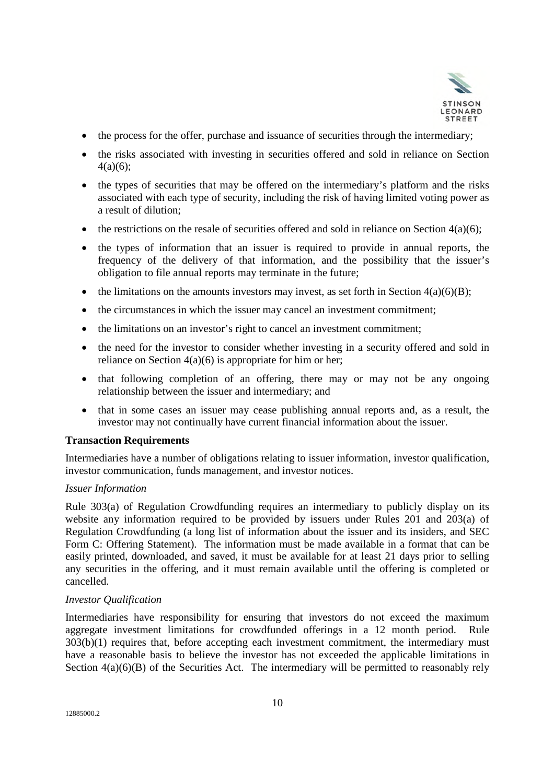

- the process for the offer, purchase and issuance of securities through the intermediary;
- the risks associated with investing in securities offered and sold in reliance on Section 4(a)(6);
- the types of securities that may be offered on the intermediary's platform and the risks associated with each type of security, including the risk of having limited voting power as a result of dilution;
- $\bullet$  the restrictions on the resale of securities offered and sold in reliance on Section 4(a)(6);
- the types of information that an issuer is required to provide in annual reports, the frequency of the delivery of that information, and the possibility that the issuer's obligation to file annual reports may terminate in the future;
- the limitations on the amounts investors may invest, as set forth in Section  $4(a)(6)(B)$ ;
- the circumstances in which the issuer may cancel an investment commitment;
- the limitations on an investor's right to cancel an investment commitment;
- the need for the investor to consider whether investing in a security offered and sold in reliance on Section  $4(a)(6)$  is appropriate for him or her;
- that following completion of an offering, there may or may not be any ongoing relationship between the issuer and intermediary; and
- that in some cases an issuer may cease publishing annual reports and, as a result, the investor may not continually have current financial information about the issuer.

#### **Transaction Requirements**

Intermediaries have a number of obligations relating to issuer information, investor qualification, investor communication, funds management, and investor notices.

## *Issuer Information*

Rule 303(a) of Regulation Crowdfunding requires an intermediary to publicly display on its website any information required to be provided by issuers under Rules 201 and 203(a) of Regulation Crowdfunding (a long list of information about the issuer and its insiders, and SEC Form C: Offering Statement). The information must be made available in a format that can be easily printed, downloaded, and saved, it must be available for at least 21 days prior to selling any securities in the offering, and it must remain available until the offering is completed or cancelled.

#### *Investor Qualification*

Intermediaries have responsibility for ensuring that investors do not exceed the maximum aggregate investment limitations for crowdfunded offerings in a 12 month period. Rule 303(b)(1) requires that, before accepting each investment commitment, the intermediary must have a reasonable basis to believe the investor has not exceeded the applicable limitations in Section  $4(a)(6)(B)$  of the Securities Act. The intermediary will be permitted to reasonably rely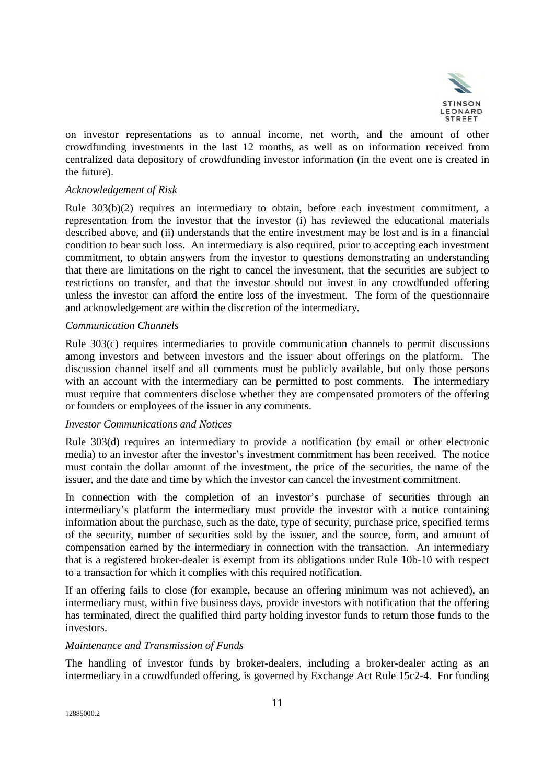

on investor representations as to annual income, net worth, and the amount of other crowdfunding investments in the last 12 months, as well as on information received from centralized data depository of crowdfunding investor information (in the event one is created in the future).

### *Acknowledgement of Risk*

Rule 303(b)(2) requires an intermediary to obtain, before each investment commitment, a representation from the investor that the investor (i) has reviewed the educational materials described above, and (ii) understands that the entire investment may be lost and is in a financial condition to bear such loss. An intermediary is also required, prior to accepting each investment commitment, to obtain answers from the investor to questions demonstrating an understanding that there are limitations on the right to cancel the investment, that the securities are subject to restrictions on transfer, and that the investor should not invest in any crowdfunded offering unless the investor can afford the entire loss of the investment. The form of the questionnaire and acknowledgement are within the discretion of the intermediary.

#### *Communication Channels*

Rule 303(c) requires intermediaries to provide communication channels to permit discussions among investors and between investors and the issuer about offerings on the platform. The discussion channel itself and all comments must be publicly available, but only those persons with an account with the intermediary can be permitted to post comments. The intermediary must require that commenters disclose whether they are compensated promoters of the offering or founders or employees of the issuer in any comments.

#### *Investor Communications and Notices*

Rule 303(d) requires an intermediary to provide a notification (by email or other electronic media) to an investor after the investor's investment commitment has been received. The notice must contain the dollar amount of the investment, the price of the securities, the name of the issuer, and the date and time by which the investor can cancel the investment commitment.

In connection with the completion of an investor's purchase of securities through an intermediary's platform the intermediary must provide the investor with a notice containing information about the purchase, such as the date, type of security, purchase price, specified terms of the security, number of securities sold by the issuer, and the source, form, and amount of compensation earned by the intermediary in connection with the transaction. An intermediary that is a registered broker-dealer is exempt from its obligations under Rule 10b-10 with respect to a transaction for which it complies with this required notification.

If an offering fails to close (for example, because an offering minimum was not achieved), an intermediary must, within five business days, provide investors with notification that the offering has terminated, direct the qualified third party holding investor funds to return those funds to the investors.

#### *Maintenance and Transmission of Funds*

The handling of investor funds by broker-dealers, including a broker-dealer acting as an intermediary in a crowdfunded offering, is governed by Exchange Act Rule 15c2-4. For funding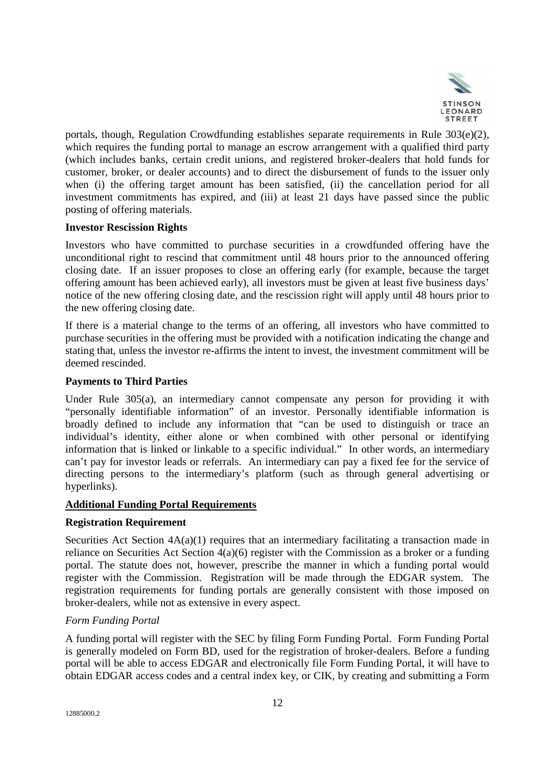

portals, though, Regulation Crowdfunding establishes separate requirements in Rule  $303(e)(2)$ , which requires the funding portal to manage an escrow arrangement with a qualified third party (which includes banks, certain credit unions, and registered broker-dealers that hold funds for customer, broker, or dealer accounts) and to direct the disbursement of funds to the issuer only when (i) the offering target amount has been satisfied, (ii) the cancellation period for all investment commitments has expired, and (iii) at least 21 days have passed since the public posting of offering materials.

## **Investor Rescission Rights**

Investors who have committed to purchase securities in a crowdfunded offering have the unconditional right to rescind that commitment until 48 hours prior to the announced offering closing date. If an issuer proposes to close an offering early (for example, because the target offering amount has been achieved early), all investors must be given at least five business days' notice of the new offering closing date, and the rescission right will apply until 48 hours prior to the new offering closing date.

If there is a material change to the terms of an offering, all investors who have committed to purchase securities in the offering must be provided with a notification indicating the change and stating that, unless the investor re-affirms the intent to invest, the investment commitment will be deemed rescinded.

# **Payments to Third Parties**

Under Rule 305(a), an intermediary cannot compensate any person for providing it with "personally identifiable information" of an investor. Personally identifiable information is broadly defined to include any information that "can be used to distinguish or trace an individual's identity, either alone or when combined with other personal or identifying information that is linked or linkable to a specific individual." In other words, an intermediary can't pay for investor leads or referrals. An intermediary can pay a fixed fee for the service of directing persons to the intermediary's platform (such as through general advertising or hyperlinks).

## **Additional Funding Portal Requirements**

## **Registration Requirement**

Securities Act Section  $4A(a)(1)$  requires that an intermediary facilitating a transaction made in reliance on Securities Act Section 4(a)(6) register with the Commission as a broker or a funding portal. The statute does not, however, prescribe the manner in which a funding portal would register with the Commission. Registration will be made through the EDGAR system. The registration requirements for funding portals are generally consistent with those imposed on broker-dealers, while not as extensive in every aspect.

## *Form Funding Portal*

A funding portal will register with the SEC by filing Form Funding Portal. Form Funding Portal is generally modeled on Form BD, used for the registration of broker-dealers. Before a funding portal will be able to access EDGAR and electronically file Form Funding Portal, it will have to obtain EDGAR access codes and a central index key, or CIK, by creating and submitting a Form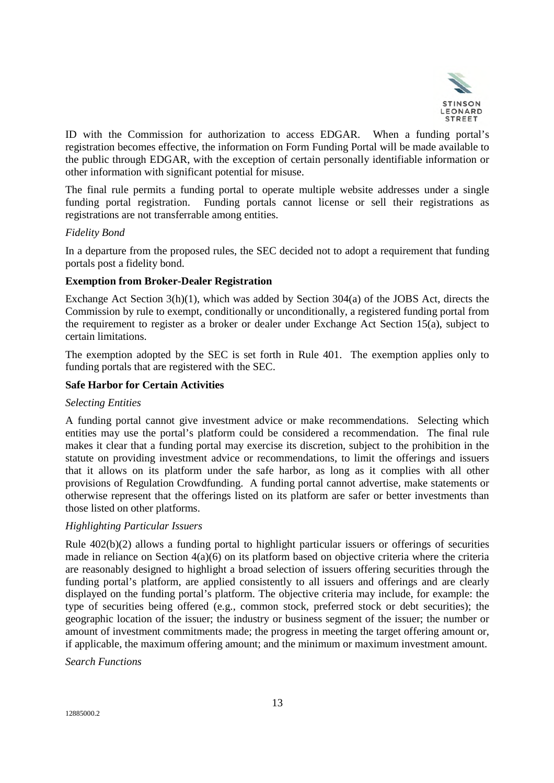

ID with the Commission for authorization to access EDGAR. When a funding portal's registration becomes effective, the information on Form Funding Portal will be made available to the public through EDGAR, with the exception of certain personally identifiable information or other information with significant potential for misuse.

The final rule permits a funding portal to operate multiple website addresses under a single funding portal registration. Funding portals cannot license or sell their registrations as registrations are not transferrable among entities.

## *Fidelity Bond*

In a departure from the proposed rules, the SEC decided not to adopt a requirement that funding portals post a fidelity bond.

### **Exemption from Broker-Dealer Registration**

Exchange Act Section 3(h)(1), which was added by Section 304(a) of the JOBS Act, directs the Commission by rule to exempt, conditionally or unconditionally, a registered funding portal from the requirement to register as a broker or dealer under Exchange Act Section 15(a), subject to certain limitations.

The exemption adopted by the SEC is set forth in Rule 401. The exemption applies only to funding portals that are registered with the SEC.

### **Safe Harbor for Certain Activities**

#### *Selecting Entities*

A funding portal cannot give investment advice or make recommendations. Selecting which entities may use the portal's platform could be considered a recommendation. The final rule makes it clear that a funding portal may exercise its discretion, subject to the prohibition in the statute on providing investment advice or recommendations, to limit the offerings and issuers that it allows on its platform under the safe harbor, as long as it complies with all other provisions of Regulation Crowdfunding. A funding portal cannot advertise, make statements or otherwise represent that the offerings listed on its platform are safer or better investments than those listed on other platforms.

## *Highlighting Particular Issuers*

Rule 402(b)(2) allows a funding portal to highlight particular issuers or offerings of securities made in reliance on Section 4(a)(6) on its platform based on objective criteria where the criteria are reasonably designed to highlight a broad selection of issuers offering securities through the funding portal's platform, are applied consistently to all issuers and offerings and are clearly displayed on the funding portal's platform. The objective criteria may include, for example: the type of securities being offered (e.g., common stock, preferred stock or debt securities); the geographic location of the issuer; the industry or business segment of the issuer; the number or amount of investment commitments made; the progress in meeting the target offering amount or, if applicable, the maximum offering amount; and the minimum or maximum investment amount.

#### *Search Functions*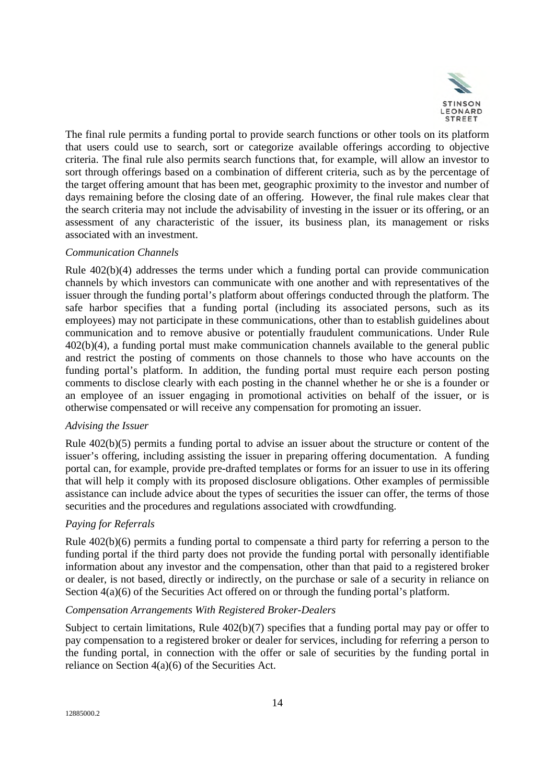

The final rule permits a funding portal to provide search functions or other tools on its platform that users could use to search, sort or categorize available offerings according to objective criteria. The final rule also permits search functions that, for example, will allow an investor to sort through offerings based on a combination of different criteria, such as by the percentage of the target offering amount that has been met, geographic proximity to the investor and number of days remaining before the closing date of an offering. However, the final rule makes clear that the search criteria may not include the advisability of investing in the issuer or its offering, or an assessment of any characteristic of the issuer, its business plan, its management or risks associated with an investment.

### *Communication Channels*

Rule 402(b)(4) addresses the terms under which a funding portal can provide communication channels by which investors can communicate with one another and with representatives of the issuer through the funding portal's platform about offerings conducted through the platform. The safe harbor specifies that a funding portal (including its associated persons, such as its employees) may not participate in these communications, other than to establish guidelines about communication and to remove abusive or potentially fraudulent communications. Under Rule 402(b)(4), a funding portal must make communication channels available to the general public and restrict the posting of comments on those channels to those who have accounts on the funding portal's platform. In addition, the funding portal must require each person posting comments to disclose clearly with each posting in the channel whether he or she is a founder or an employee of an issuer engaging in promotional activities on behalf of the issuer, or is otherwise compensated or will receive any compensation for promoting an issuer.

### *Advising the Issuer*

Rule 402(b)(5) permits a funding portal to advise an issuer about the structure or content of the issuer's offering, including assisting the issuer in preparing offering documentation. A funding portal can, for example, provide pre-drafted templates or forms for an issuer to use in its offering that will help it comply with its proposed disclosure obligations. Other examples of permissible assistance can include advice about the types of securities the issuer can offer, the terms of those securities and the procedures and regulations associated with crowdfunding.

## *Paying for Referrals*

Rule 402(b)(6) permits a funding portal to compensate a third party for referring a person to the funding portal if the third party does not provide the funding portal with personally identifiable information about any investor and the compensation, other than that paid to a registered broker or dealer, is not based, directly or indirectly, on the purchase or sale of a security in reliance on Section  $4(a)(6)$  of the Securities Act offered on or through the funding portal's platform.

## *Compensation Arrangements With Registered Broker-Dealers*

Subject to certain limitations, Rule 402(b)(7) specifies that a funding portal may pay or offer to pay compensation to a registered broker or dealer for services, including for referring a person to the funding portal, in connection with the offer or sale of securities by the funding portal in reliance on Section 4(a)(6) of the Securities Act.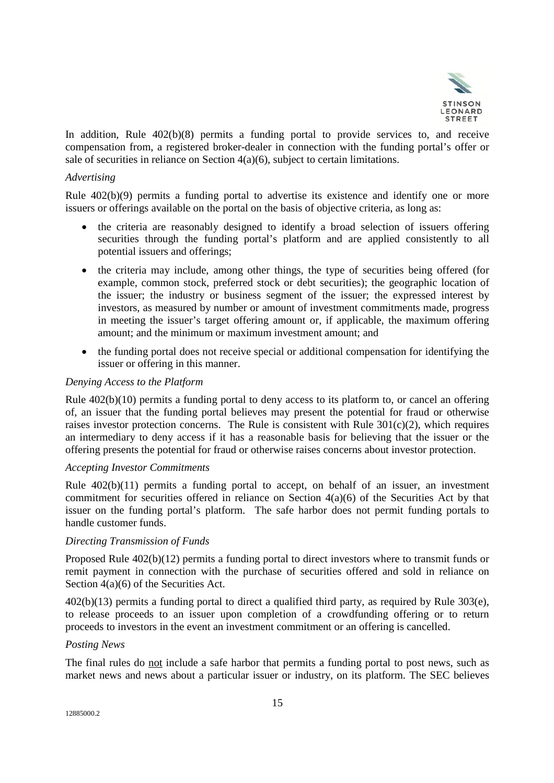

In addition, Rule 402(b)(8) permits a funding portal to provide services to, and receive compensation from, a registered broker-dealer in connection with the funding portal's offer or sale of securities in reliance on Section 4(a)(6), subject to certain limitations.

### *Advertising*

Rule 402(b)(9) permits a funding portal to advertise its existence and identify one or more issuers or offerings available on the portal on the basis of objective criteria, as long as:

- the criteria are reasonably designed to identify a broad selection of issuers offering securities through the funding portal's platform and are applied consistently to all potential issuers and offerings;
- the criteria may include, among other things, the type of securities being offered (for example, common stock, preferred stock or debt securities); the geographic location of the issuer; the industry or business segment of the issuer; the expressed interest by investors, as measured by number or amount of investment commitments made, progress in meeting the issuer's target offering amount or, if applicable, the maximum offering amount; and the minimum or maximum investment amount; and
- the funding portal does not receive special or additional compensation for identifying the issuer or offering in this manner.

### *Denying Access to the Platform*

Rule 402(b)(10) permits a funding portal to deny access to its platform to, or cancel an offering of, an issuer that the funding portal believes may present the potential for fraud or otherwise raises investor protection concerns. The Rule is consistent with Rule 301(c)(2), which requires an intermediary to deny access if it has a reasonable basis for believing that the issuer or the offering presents the potential for fraud or otherwise raises concerns about investor protection.

#### *Accepting Investor Commitments*

Rule 402(b)(11) permits a funding portal to accept, on behalf of an issuer, an investment commitment for securities offered in reliance on Section 4(a)(6) of the Securities Act by that issuer on the funding portal's platform. The safe harbor does not permit funding portals to handle customer funds.

#### *Directing Transmission of Funds*

Proposed Rule 402(b)(12) permits a funding portal to direct investors where to transmit funds or remit payment in connection with the purchase of securities offered and sold in reliance on Section 4(a)(6) of the Securities Act.

402(b)(13) permits a funding portal to direct a qualified third party, as required by Rule 303(e), to release proceeds to an issuer upon completion of a crowdfunding offering or to return proceeds to investors in the event an investment commitment or an offering is cancelled.

#### *Posting News*

The final rules do not include a safe harbor that permits a funding portal to post news, such as market news and news about a particular issuer or industry, on its platform. The SEC believes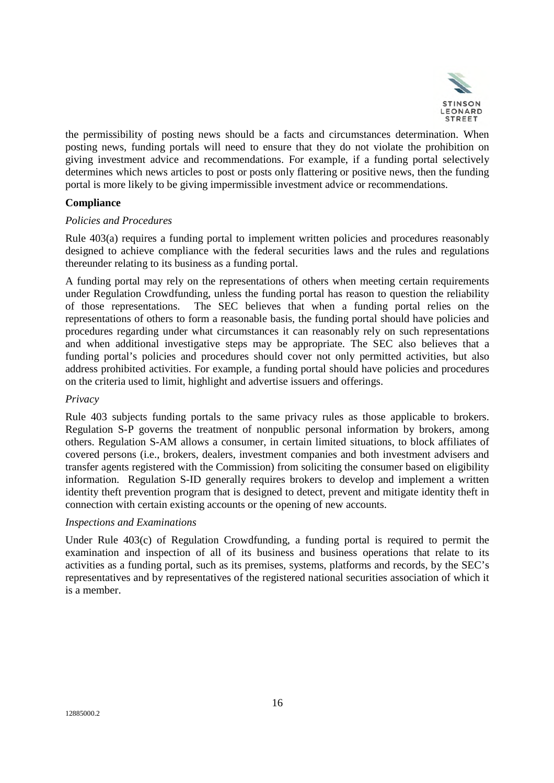

the permissibility of posting news should be a facts and circumstances determination. When posting news, funding portals will need to ensure that they do not violate the prohibition on giving investment advice and recommendations. For example, if a funding portal selectively determines which news articles to post or posts only flattering or positive news, then the funding portal is more likely to be giving impermissible investment advice or recommendations.

## **Compliance**

## *Policies and Procedures*

Rule 403(a) requires a funding portal to implement written policies and procedures reasonably designed to achieve compliance with the federal securities laws and the rules and regulations thereunder relating to its business as a funding portal.

A funding portal may rely on the representations of others when meeting certain requirements under Regulation Crowdfunding, unless the funding portal has reason to question the reliability of those representations. The SEC believes that when a funding portal relies on the representations of others to form a reasonable basis, the funding portal should have policies and procedures regarding under what circumstances it can reasonably rely on such representations and when additional investigative steps may be appropriate. The SEC also believes that a funding portal's policies and procedures should cover not only permitted activities, but also address prohibited activities. For example, a funding portal should have policies and procedures on the criteria used to limit, highlight and advertise issuers and offerings.

## *Privacy*

Rule 403 subjects funding portals to the same privacy rules as those applicable to brokers. Regulation S-P governs the treatment of nonpublic personal information by brokers, among others. Regulation S-AM allows a consumer, in certain limited situations, to block affiliates of covered persons (i.e., brokers, dealers, investment companies and both investment advisers and transfer agents registered with the Commission) from soliciting the consumer based on eligibility information. Regulation S-ID generally requires brokers to develop and implement a written identity theft prevention program that is designed to detect, prevent and mitigate identity theft in connection with certain existing accounts or the opening of new accounts.

#### *Inspections and Examinations*

Under Rule 403(c) of Regulation Crowdfunding, a funding portal is required to permit the examination and inspection of all of its business and business operations that relate to its activities as a funding portal, such as its premises, systems, platforms and records, by the SEC's representatives and by representatives of the registered national securities association of which it is a member.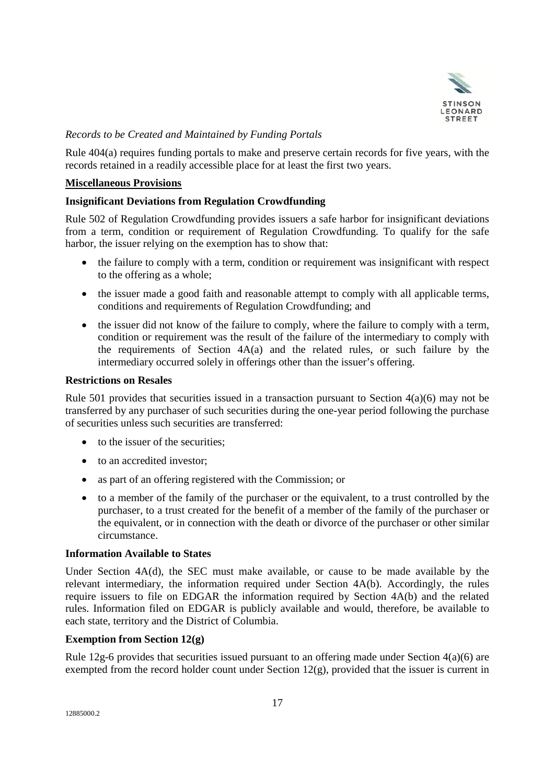

# *Records to be Created and Maintained by Funding Portals*

Rule 404(a) requires funding portals to make and preserve certain records for five years, with the records retained in a readily accessible place for at least the first two years.

### **Miscellaneous Provisions**

## **Insignificant Deviations from Regulation Crowdfunding**

Rule 502 of Regulation Crowdfunding provides issuers a safe harbor for insignificant deviations from a term, condition or requirement of Regulation Crowdfunding. To qualify for the safe harbor, the issuer relying on the exemption has to show that:

- the failure to comply with a term, condition or requirement was insignificant with respect to the offering as a whole;
- the issuer made a good faith and reasonable attempt to comply with all applicable terms, conditions and requirements of Regulation Crowdfunding; and
- the issuer did not know of the failure to comply, where the failure to comply with a term, condition or requirement was the result of the failure of the intermediary to comply with the requirements of Section 4A(a) and the related rules, or such failure by the intermediary occurred solely in offerings other than the issuer's offering.

#### **Restrictions on Resales**

Rule 501 provides that securities issued in a transaction pursuant to Section 4(a)(6) may not be transferred by any purchaser of such securities during the one-year period following the purchase of securities unless such securities are transferred:

- to the issuer of the securities;
- to an accredited investor;
- as part of an offering registered with the Commission; or
- to a member of the family of the purchaser or the equivalent, to a trust controlled by the purchaser, to a trust created for the benefit of a member of the family of the purchaser or the equivalent, or in connection with the death or divorce of the purchaser or other similar circumstance.

#### **Information Available to States**

Under Section 4A(d), the SEC must make available, or cause to be made available by the relevant intermediary, the information required under Section 4A(b). Accordingly, the rules require issuers to file on EDGAR the information required by Section 4A(b) and the related rules. Information filed on EDGAR is publicly available and would, therefore, be available to each state, territory and the District of Columbia.

### **Exemption from Section 12(g)**

Rule 12g-6 provides that securities issued pursuant to an offering made under Section 4(a)(6) are exempted from the record holder count under Section  $12(g)$ , provided that the issuer is current in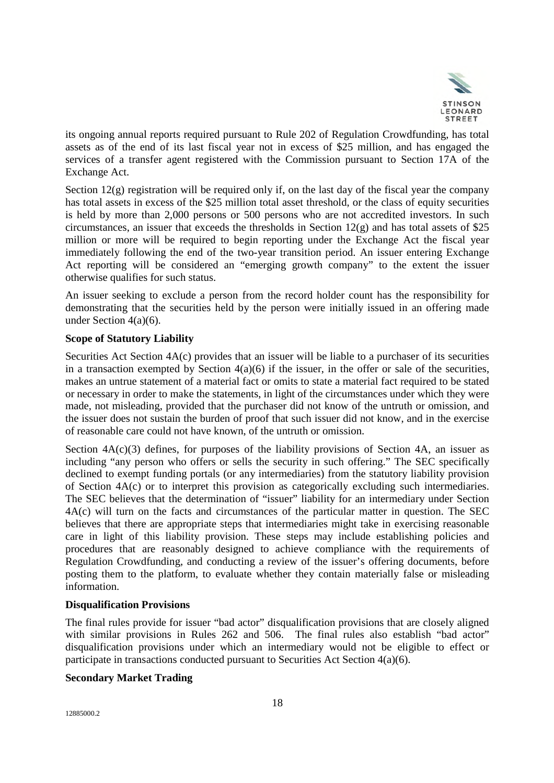

its ongoing annual reports required pursuant to Rule 202 of Regulation Crowdfunding, has total assets as of the end of its last fiscal year not in excess of \$25 million, and has engaged the services of a transfer agent registered with the Commission pursuant to Section 17A of the Exchange Act.

Section  $12(g)$  registration will be required only if, on the last day of the fiscal year the company has total assets in excess of the \$25 million total asset threshold, or the class of equity securities is held by more than 2,000 persons or 500 persons who are not accredited investors. In such circumstances, an issuer that exceeds the thresholds in Section  $12(g)$  and has total assets of \$25 million or more will be required to begin reporting under the Exchange Act the fiscal year immediately following the end of the two-year transition period. An issuer entering Exchange Act reporting will be considered an "emerging growth company" to the extent the issuer otherwise qualifies for such status.

An issuer seeking to exclude a person from the record holder count has the responsibility for demonstrating that the securities held by the person were initially issued in an offering made under Section 4(a)(6).

## **Scope of Statutory Liability**

Securities Act Section 4A(c) provides that an issuer will be liable to a purchaser of its securities in a transaction exempted by Section  $4(a)(6)$  if the issuer, in the offer or sale of the securities, makes an untrue statement of a material fact or omits to state a material fact required to be stated or necessary in order to make the statements, in light of the circumstances under which they were made, not misleading, provided that the purchaser did not know of the untruth or omission, and the issuer does not sustain the burden of proof that such issuer did not know, and in the exercise of reasonable care could not have known, of the untruth or omission.

Section  $4A(c)(3)$  defines, for purposes of the liability provisions of Section 4A, an issuer as including "any person who offers or sells the security in such offering." The SEC specifically declined to exempt funding portals (or any intermediaries) from the statutory liability provision of Section 4A(c) or to interpret this provision as categorically excluding such intermediaries. The SEC believes that the determination of "issuer" liability for an intermediary under Section 4A(c) will turn on the facts and circumstances of the particular matter in question. The SEC believes that there are appropriate steps that intermediaries might take in exercising reasonable care in light of this liability provision. These steps may include establishing policies and procedures that are reasonably designed to achieve compliance with the requirements of Regulation Crowdfunding, and conducting a review of the issuer's offering documents, before posting them to the platform, to evaluate whether they contain materially false or misleading information.

#### **Disqualification Provisions**

The final rules provide for issuer "bad actor" disqualification provisions that are closely aligned with similar provisions in Rules 262 and 506. The final rules also establish "bad actor" disqualification provisions under which an intermediary would not be eligible to effect or participate in transactions conducted pursuant to Securities Act Section 4(a)(6).

## **Secondary Market Trading**